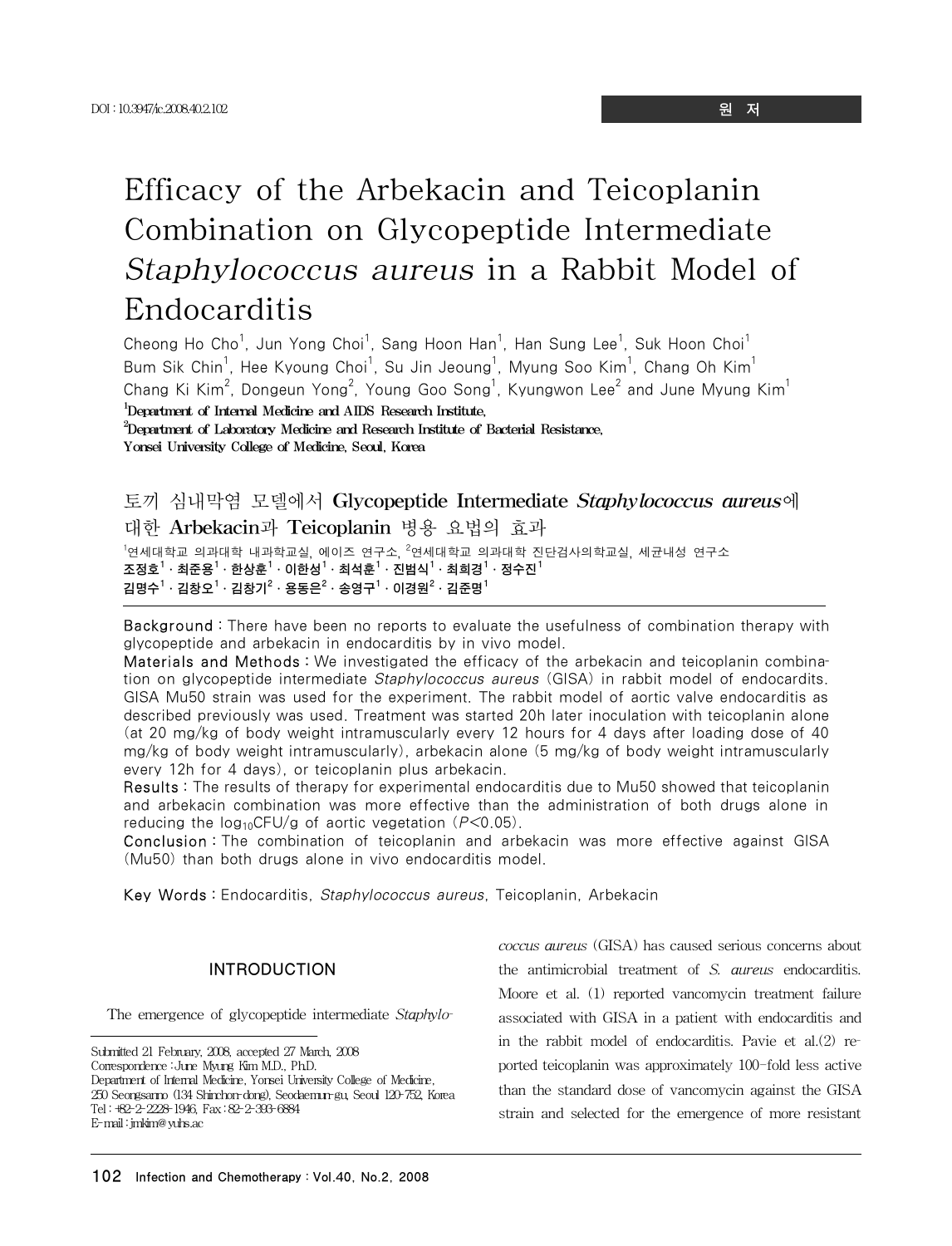# Efficacy of the Arbekacin and Teicoplanin Combination on Glycopeptide Intermediate Staphylococcus aureus in a Rabbit Model of Endocarditis

Cheong Ho Cho<sup>1</sup>, Jun Yong Choi<sup>1</sup>, Sang Hoon Han<sup>1</sup>, Han Sung Lee<sup>1</sup>, Suk Hoon Choi<sup>1</sup> Bum Sik Chin<sup>1</sup>, Hee Kyoung Choi<sup>1</sup>, Su Jin Jeoung<sup>1</sup>, Myung Soo Kim<sup>1</sup>, Chang Oh Kim<sup>1</sup> Chang Ki Kim $^2$ , Dongeun Yong $^2$ , Young Goo Song $^1$ , Kyungwon Lee $^2$  and June Myung Kim $^1$ 1 Department of Internal Medicine and AIDS Research Institute,  $^{2}$ Department of Laboratory Medicine and Research Institute of Bacterial Resistance, Yonsei University College of Medicine, Seoul, Korea

## 토끼 심내막염 모델에서 Glycopeptide Intermediate *Staphylococcus aureus*에 대한 Arbekacin과 Teicoplanin 병용 요법의 효과

<sup>1</sup>연세대학교 의과대학 내과학교실, 에이즈 연구소, <sup>2</sup>연세대학교 의과대학 진단검사의학교실, 세균내성 연구소 조정호 $^1\cdot$  최준용 $^1\cdot$  한상훈 $^1\cdot$  이한성 $^1\cdot$  최석훈 $^1\cdot$  진범식 $^1\cdot$  최희경 $^1\cdot$  정수진 $^1$ 김명수 $^1\cdot$  김창오 $^1\cdot$ 김창기 $^2\cdot$  용동은 $^2\cdot$  송영구 $^1\cdot$  이경원 $^2\cdot$  김준명 $^1$ 

Background : There have been no reports to evaluate the usefulness of combination therapy with glycopeptide and arbekacin in endocarditis by in vivo model.

Materials and Methods : We investigated the efficacy of the arbekacin and teicoplanin combination on glycopeptide intermediate *Staphylococcus aureus* (GISA) in rabbit model of endocardits. GISA Mu50 strain was used for the experiment. The rabbit model of aortic valve endocarditis as described previously was used. Treatment was started 20h later inoculation with teicoplanin alone (at 20 mg/kg of body weight intramuscularly every 12 hours for 4 days after loading dose of 40 mg/kg of body weight intramuscularly), arbekacin alone (5 mg/kg of body weight intramuscularly every 12h for 4 days), or teicoplanin plus arbekacin.

Results : The results of therapy for experimental endocarditis due to Mu50 showed that teicoplanin and arbekacin combination was more effective than the administration of both drugs alone in reducing the  $log_{10}$ CFU/g of aortic vegetation ( $P$ <0.05).

Conclusion : The combination of teicoplanin and arbekacin was more effective against GISA (Mu50) than both drugs alone in vivo endocarditis model.

Key Words : Endocarditis, Staphylococcus aureus, Teicoplanin, Arbekacin

## INTRODUCTION

The emergence of glycopeptide intermediate *Staphylo-*

Submitted 21 February, 2008, accepted 27 March, 2008 Correspondence :June Myung Kim M.D., Ph.D. Department of Internal Medicine, Yonsei University College of Medicine, 250 Seongsanno (134 Shinchon-dong), Seodaemun-gu, Seoul 120-752, Korea Tel:+82-2-2228-1946, Fax:82-2-393-6884 E-mail:jmkim@yuhs.ac

*coccus aureus* (GISA) has caused serious concerns about the antimicrobial treatment of *S. aureus* endocarditis. Moore et al. (1) reported vancomycin treatment failure associated with GISA in a patient with endocarditis and in the rabbit model of endocarditis. Pavie et al.(2) reported teicoplanin was approximately 100-fold less active than the standard dose of vancomycin against the GISA strain and selected for the emergence of more resistant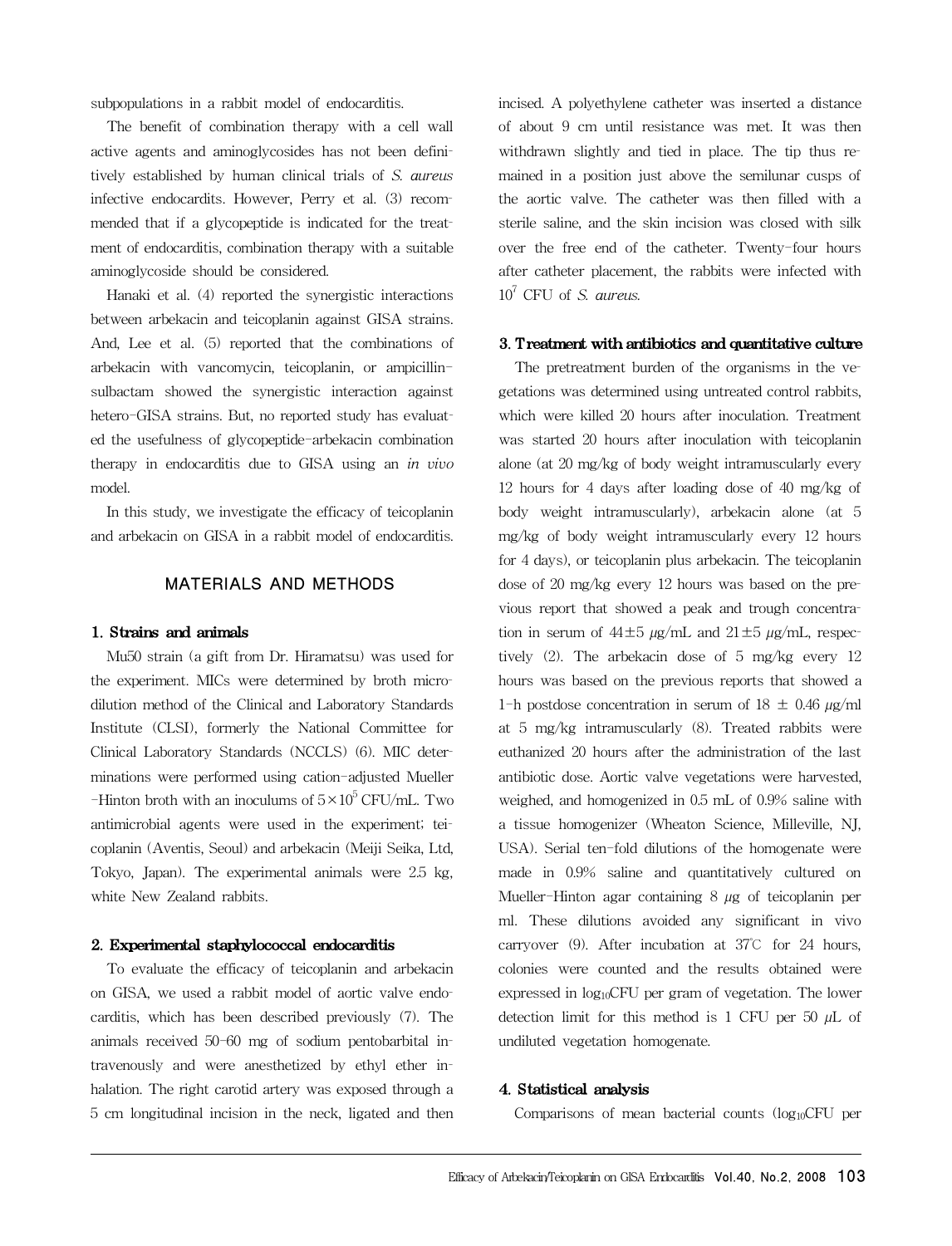subpopulations in a rabbit model of endocarditis.

The benefit of combination therapy with a cell wall active agents and aminoglycosides has not been definitively established by human clinical trials of *S. aureus* infective endocardits. However, Perry et al. (3) recommended that if a glycopeptide is indicated for the treatment of endocarditis, combination therapy with a suitable aminoglycoside should be considered.

Hanaki et al. (4) reported the synergistic interactions between arbekacin and teicoplanin against GISA strains. And, Lee et al. (5) reported that the combinations of arbekacin with vancomycin, teicoplanin, or ampicillinsulbactam showed the synergistic interaction against hetero-GISA strains. But, no reported study has evaluated the usefulness of glycopeptide-arbekacin combination therapy in endocarditis due to GISA using an *in vivo* model.

In this study, we investigate the efficacy of teicoplanin and arbekacin on GISA in a rabbit model of endocarditis.

## MATERIALS AND METHODS

## 1. Strains and animals

Mu50 strain (a gift from Dr. Hiramatsu) was used for the experiment. MICs were determined by broth microdilution method of the Clinical and Laboratory Standards Institute (CLSI), formerly the National Committee for Clinical Laboratory Standards (NCCLS) (6). MIC determinations were performed using cation-adjusted Mueller -Hinton broth with an inoculums of  $5 \times 10^5$  CFU/mL. Two antimicrobial agents were used in the experiment; teicoplanin (Aventis, Seoul) and arbekacin (Meiji Seika, Ltd, Tokyo, Japan). The experimental animals were 2.5 kg, white New Zealand rabbits.

#### 2. Experimental staphylococcal endocarditis

To evaluate the efficacy of teicoplanin and arbekacin on GISA, we used a rabbit model of aortic valve endocarditis, which has been described previously (7). The animals received 50-60 mg of sodium pentobarbital intravenously and were anesthetized by ethyl ether inhalation. The right carotid artery was exposed through a 5 cm longitudinal incision in the neck, ligated and then incised. A polyethylene catheter was inserted a distance of about 9 cm until resistance was met. It was then withdrawn slightly and tied in place. The tip thus remained in a position just above the semilunar cusps of the aortic valve. The catheter was then filled with a sterile saline, and the skin incision was closed with silk over the free end of the catheter. Twenty-four hours after catheter placement, the rabbits were infected with  $10^7$  CFU of *S. aureus.* 

#### 3. Treatment with antibiotics and quantitative culture

The pretreatment burden of the organisms in the vegetations was determined using untreated control rabbits, which were killed 20 hours after inoculation. Treatment was started 20 hours after inoculation with teicoplanin alone (at 20 mg/kg of body weight intramuscularly every 12 hours for 4 days after loading dose of 40 mg/kg of body weight intramuscularly), arbekacin alone (at 5 mg/kg of body weight intramuscularly every 12 hours for 4 days), or teicoplanin plus arbekacin. The teicoplanin dose of 20 mg/kg every 12 hours was based on the previous report that showed a peak and trough concentration in serum of  $44\pm5 \mu g/mL$  and  $21\pm5 \mu g/mL$ , respectively (2). The arbekacin dose of 5 mg/kg every 12 hours was based on the previous reports that showed a 1-h postdose concentration in serum of  $18 \pm 0.46 \mu g/ml$ at 5 mg/kg intramuscularly (8). Treated rabbits were euthanized 20 hours after the administration of the last antibiotic dose. Aortic valve vegetations were harvested, weighed, and homogenized in 0.5 mL of 0.9% saline with a tissue homogenizer (Wheaton Science, Milleville, NJ, USA). Serial ten-fold dilutions of the homogenate were made in 0.9% saline and quantitatively cultured on Mueller-Hinton agar containing  $8 \mu$ g of teicoplanin per ml. These dilutions avoided any significant in vivo carryover (9). After incubation at 37℃ for 24 hours, colonies were counted and the results obtained were expressed in log10CFU per gram of vegetation. The lower detection limit for this method is 1 CFU per 50  $\mu$ L of undiluted vegetation homogenate.

## 4. Statistical analysis

Comparisons of mean bacterial counts  $(log_{10}CFU$  per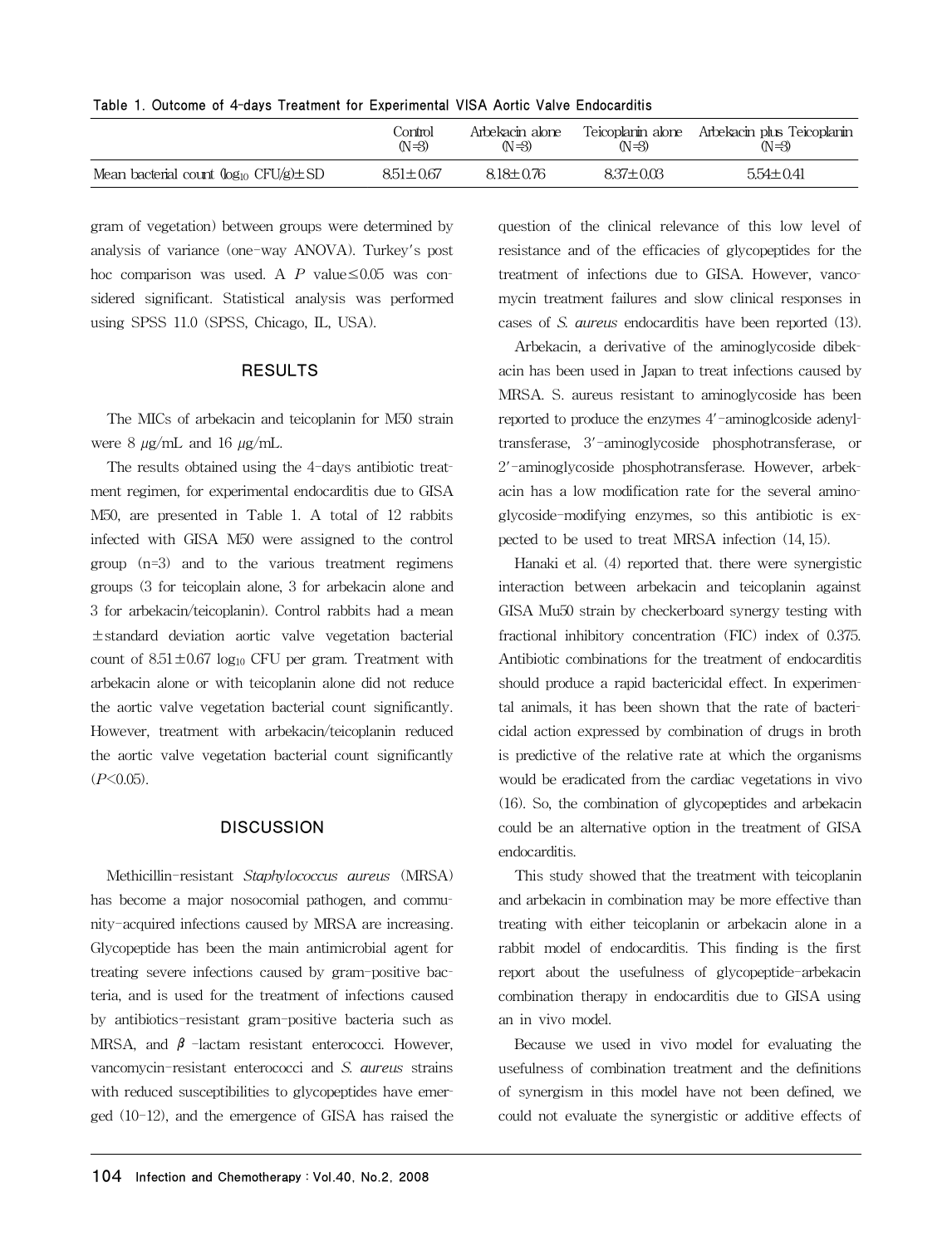| $1000$ . Outcome of $\pm$ 0010 included to Experimental violence valve Englocature |                    |                            |               |                                                         |
|------------------------------------------------------------------------------------|--------------------|----------------------------|---------------|---------------------------------------------------------|
|                                                                                    | Control<br>$(N=3)$ | Arbekacin alone<br>$(N=3)$ | (N=3)         | Teicoplanin alone Arbekacin plus Teicoplanin<br>$(N=3)$ |
| Mean bacterial count $(\log_{10} CFU/g) \pm SD$                                    | $8.51 \pm 0.67$    | $8.18 + 0.76$              | $8.37 + 0.03$ | $5.54 \pm 0.41$                                         |

Table 1. Outcome of 4-days Treatment for Experimental VISA Aortic Valve Endocarditis

gram of vegetation) between groups were determined by analysis of variance (one-way ANOVA). Turkey's post hoc comparison was used. A *P* value≤0.05 was considered significant. Statistical analysis was performed using SPSS 11.0 (SPSS, Chicago, IL, USA).

## RESULTS

The MICs of arbekacin and teicoplanin for M50 strain were 8  $\mu$ g/mL and 16  $\mu$ g/mL.

The results obtained using the 4-days antibiotic treatment regimen, for experimental endocarditis due to GISA M50, are presented in Table 1. A total of 12 rabbits infected with GISA M50 were assigned to the control group (n=3) and to the various treatment regimens groups (3 for teicoplain alone, 3 for arbekacin alone and 3 for arbekacin/teicoplanin). Control rabbits had a mean ±standard deviation aortic valve vegetation bacterial count of  $8.51 \pm 0.67$  log<sub>10</sub> CFU per gram. Treatment with arbekacin alone or with teicoplanin alone did not reduce the aortic valve vegetation bacterial count significantly. However, treatment with arbekacin/teicoplanin reduced the aortic valve vegetation bacterial count significantly (*P*<0.05).

## **DISCUSSION**

Methicillin-resistant *Staphylococcus aureus* (MRSA) has become a major nosocomial pathogen, and community-acquired infections caused by MRSA are increasing. Glycopeptide has been the main antimicrobial agent for treating severe infections caused by gram-positive bacteria, and is used for the treatment of infections caused by antibiotics-resistant gram-positive bacteria such as MRSA, and  $\beta$  -lactam resistant enterococci. However, vancomycin-resistant enterococci and *S. aureus* strains with reduced susceptibilities to glycopeptides have emerged (10-12), and the emergence of GISA has raised the question of the clinical relevance of this low level of resistance and of the efficacies of glycopeptides for the treatment of infections due to GISA. However, vancomycin treatment failures and slow clinical responses in cases of *S. aureus* endocarditis have been reported (13).

Arbekacin, a derivative of the aminoglycoside dibekacin has been used in Japan to treat infections caused by MRSA. S. aureus resistant to aminoglycoside has been reported to produce the enzymes 4'-aminoglcoside adenyltransferase, 3'-aminoglycoside phosphotransferase, or 2'-aminoglycoside phosphotransferase. However, arbekacin has a low modification rate for the several aminoglycoside-modifying enzymes, so this antibiotic is expected to be used to treat MRSA infection (14, 15).

Hanaki et al. (4) reported that. there were synergistic interaction between arbekacin and teicoplanin against GISA Mu50 strain by checkerboard synergy testing with fractional inhibitory concentration (FIC) index of 0.375. Antibiotic combinations for the treatment of endocarditis should produce a rapid bactericidal effect. In experimental animals, it has been shown that the rate of bactericidal action expressed by combination of drugs in broth is predictive of the relative rate at which the organisms would be eradicated from the cardiac vegetations in vivo (16). So, the combination of glycopeptides and arbekacin could be an alternative option in the treatment of GISA endocarditis.

This study showed that the treatment with teicoplanin and arbekacin in combination may be more effective than treating with either teicoplanin or arbekacin alone in a rabbit model of endocarditis. This finding is the first report about the usefulness of glycopeptide-arbekacin combination therapy in endocarditis due to GISA using an in vivo model.

Because we used in vivo model for evaluating the usefulness of combination treatment and the definitions of synergism in this model have not been defined, we could not evaluate the synergistic or additive effects of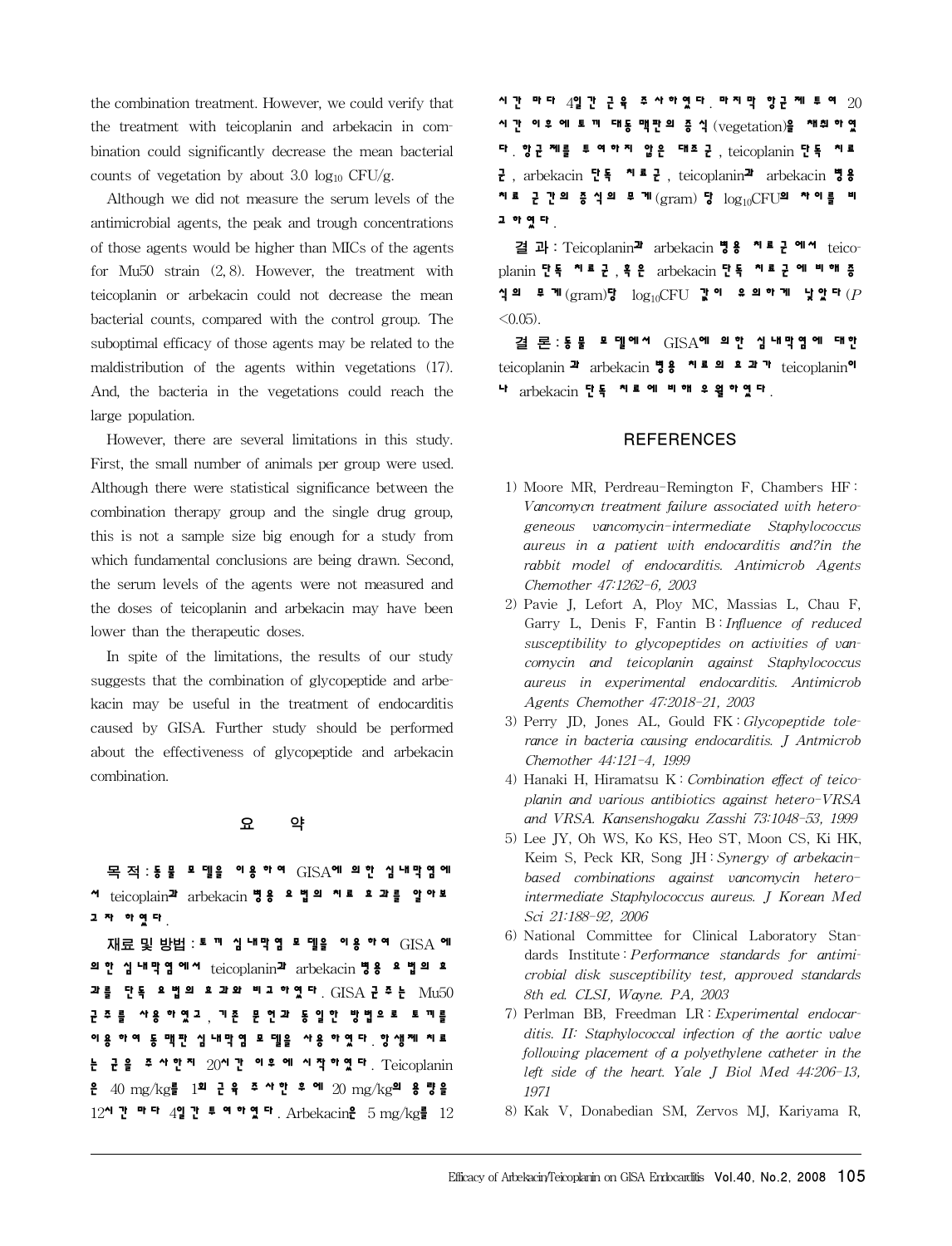the combination treatment. However, we could verify that the treatment with teicoplanin and arbekacin in combination could significantly decrease the mean bacterial counts of vegetation by about 3.0  $log_{10}$  CFU/g.

Although we did not measure the serum levels of the antimicrobial agents, the peak and trough concentrations of those agents would be higher than MICs of the agents for Mu50 strain (2, 8). However, the treatment with teicoplanin or arbekacin could not decrease the mean bacterial counts, compared with the control group. The suboptimal efficacy of those agents may be related to the maldistribution of the agents within vegetations (17). And, the bacteria in the vegetations could reach the large population.

However, there are several limitations in this study. First, the small number of animals per group were used. Although there were statistical significance between the combination therapy group and the single drug group, this is not a sample size big enough for a study from which fundamental conclusions are being drawn. Second, the serum levels of the agents were not measured and the doses of teicoplanin and arbekacin may have been lower than the therapeutic doses.

In spite of the limitations, the results of our study suggests that the combination of glycopeptide and arbekacin may be useful in the treatment of endocarditis caused by GISA. Further study should be performed about the effectiveness of glycopeptide and arbekacin combination.

## 요 약

목 적: **동 물 모 델을 이 용 하여** GISA**에 의 한 심 내막염 에 서** teicoplain**과** arbekacin **병용 요 법의 치료 효 과를 알아보 고 자 하였다** .

재료 및 방법 : **토 끼 심 내막 염 모 델을 이 용 하여** GISA **에 의 한 심 내막염 에서** teicoplanin**과** arbekacin **병용 요 법의 효 과를 단독 요 법의 효 과와 비교 하였다** . GISA **균주는** Mu50 **균 주 를 사용 하였고** , **기존 문 헌과 동 일한 방법으 로 토 끼를 이 용 하여 동 맥판 심 내막 염 모 델을 사용 하 였 다** . **항 생제 치 료 는 균 을 주 사한지** 20**시간 이후 에 시작하였다** . Teicoplanin **은** 40 mg/kg**를** 1**회 근 육 주 사한 후 에** 20 mg/kg**의 용 량을** 12**시간 마다** 4**일간 투 여하였다** . Arbekacin**은** 5 mg/kg**를** 12 **시간 마다** 4**일간 근 육 주 사하였다** . **마지막 항균 제 투 여** 20 **시 간 이 후 에 토 끼 대동 맥판 의 증 식** (vegetation)**을 채취 하 였 다** . **항 균 제를 투 여 하 지 않 은 대조 군** , teicoplanin **단독 치료 군** , arbekacin **단독 치료 군** , teicoplanin**과** arbekacin **병 용 치료 군 간의 증 식의 무 게** (gram) **당** log10CFU**의 차이를 비 교 하였다** .

결 과: Teicoplanin**과** arbekacin **병 용 치 료 군 에서** teicoplanin **단독 치료 군** , **혹 은** arbekacin **단독 치료 군 에 비해 증 식의 무게** (gram)**당** log10CFU **값이 유 의하게 낮았다** (*P*  $< 0.05$ ).

결 론: **동 물 모 델에서** GISA**에 의 한 심 내막염 에 대한** teicoplanin **과** arbekacin **병용 치료 의 효 과가** teicoplanin**이 나** arbekacin **단독 치료 에 비해 우 월하였다** .

## **REFERENCES**

- 1) Moore MR, Perdreau-Remington F, Chambers HF : *Vancomycn treatment failure associated with heterogeneous vancomycin-intermediate Staphylococcus aureus in a patient with endocarditis and?in the rabbit model of endocarditis. Antimicrob Agents Chemother 47:1262-6, 2003*
- 2) Pavie J, Lefort A, Ploy MC, Massias L, Chau F, Garry L, Denis F, Fantin B : *Influence of reduced susceptibility to glycopeptides on activities of vancomycin and teicoplanin against Staphylococcus aureus in experimental endocarditis. Antimicrob Agents Chemother 47:2018-21, 2003*
- 3) Perry JD, Jones AL, Gould FK : *Glycopeptide tolerance in bacteria causing endocarditis. J Antmicrob Chemother 44:121-4, 1999*
- 4) Hanaki H, Hiramatsu K : *Combination effect of teicoplanin and various antibiotics against hetero-VRSA and VRSA. Kansenshogaku Zasshi 73:1048-53, 1999*
- 5) Lee JY, Oh WS, Ko KS, Heo ST, Moon CS, Ki HK, Keim S, Peck KR, Song JH : *Synergy of arbekacinbased combinations against vancomycin heterointermediate Staphylococcus aureus. J Korean Med Sci 21:188-92, 2006*
- 6) National Committee for Clinical Laboratory Standards Institute : *Performance standards for antimicrobial disk susceptibility test, approved standards 8th ed. CLSI, Wayne. PA, 2003*
- 7) Perlman BB, Freedman LR : *Experimental endocarditis. II: Staphylococcal infection of the aortic valve following placement of a polyethylene catheter in the left side of the heart. Yale J Biol Med 44:206-13, 1971*
- 8) Kak V, Donabedian SM, Zervos MJ, Kariyama R,